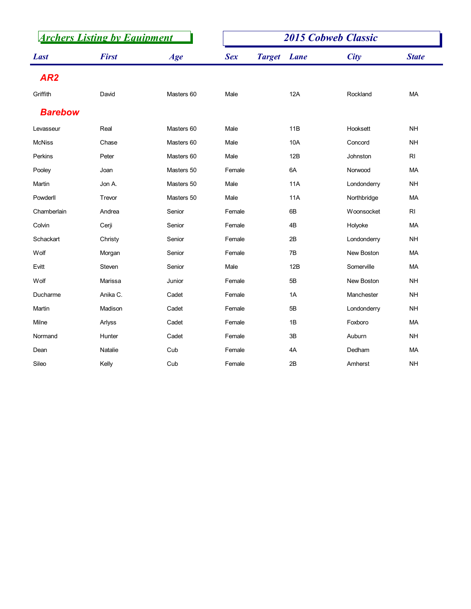|                 | <b>Archers Listing by Equipment</b> |            |            |                    | <b>2015 Cobweb Classic</b> |                 |
|-----------------|-------------------------------------|------------|------------|--------------------|----------------------------|-----------------|
| <b>Last</b>     | <b>First</b>                        | Age        | <b>Sex</b> | <b>Target</b> Lane | <b>City</b>                | <b>State</b>    |
| AR <sub>2</sub> |                                     |            |            |                    |                            |                 |
| Griffith        | David                               | Masters 60 | Male       | 12A                | Rockland                   | MA              |
| <b>Barebow</b>  |                                     |            |            |                    |                            |                 |
| Levasseur       | Real                                | Masters 60 | Male       | 11B                | Hooksett                   | <b>NH</b>       |
| <b>McNiss</b>   | Chase                               | Masters 60 | Male       | 10A                | Concord                    | <b>NH</b>       |
| Perkins         | Peter                               | Masters 60 | Male       | 12B                | Johnston                   | $\mathsf{RI}$   |
| Pooley          | Joan                                | Masters 50 | Female     | 6A                 | Norwood                    | MA              |
| Martin          | Jon A.                              | Masters 50 | Male       | 11A                | Londonderry                | <b>NH</b>       |
| Powderll        | Trevor                              | Masters 50 | Male       | 11A                | Northbridge                | MA              |
| Chamberlain     | Andrea                              | Senior     | Female     | 6B                 | Woonsocket                 | $\mathsf{RI}$   |
| Colvin          | Cerji                               | Senior     | Female     | 4B                 | Holyoke                    | MA              |
| Schackart       | Christy                             | Senior     | Female     | 2B                 | Londonderry                | <b>NH</b>       |
| Wolf            | Morgan                              | Senior     | Female     | 7B                 | New Boston                 | MA              |
| Evitt           | Steven                              | Senior     | Male       | 12B                | Somerville                 | MA              |
| Wolf            | Marissa                             | Junior     | Female     | 5B                 | New Boston                 | <b>NH</b>       |
| Ducharme        | Anika C.                            | Cadet      | Female     | 1A                 | Manchester                 | <b>NH</b>       |
| Martin          | Madison                             | Cadet      | Female     | $5\mathsf{B}$      | Londonderry                | <b>NH</b>       |
| Milne           | Arlyss                              | Cadet      | Female     | 1B                 | Foxboro                    | MA              |
| Normand         | Hunter                              | Cadet      | Female     | $3\mathsf{B}$      | Auburn                     | $\mathsf{NH}\,$ |
| Dean            | Natalie                             | Cub        | Female     | 4A                 | Dedham                     | MA              |
| Sileo           | Kelly                               | Cub        | Female     | 2B                 | Amherst                    | $\mathsf{NH}\,$ |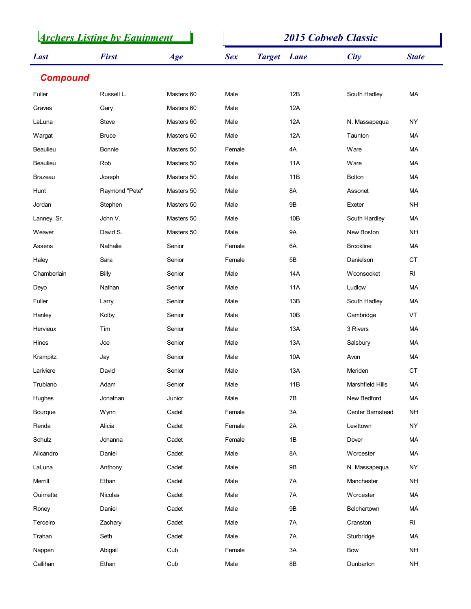|                 |                | <b>Archers Listing by Equipment</b> |            |                    | <b>2015 Cobweb Classic</b> |                 |
|-----------------|----------------|-------------------------------------|------------|--------------------|----------------------------|-----------------|
| <b>Last</b>     | <b>First</b>   | Age                                 | <b>Sex</b> | <b>Target</b> Lane | <b>City</b>                | <b>State</b>    |
| <b>Compound</b> |                |                                     |            |                    |                            |                 |
| Fuller          | Russell L.     | Masters 60                          | Male       | 12B                | South Hadley               | MA              |
| Graves          | Gary           | Masters 60                          | Male       | 12A                |                            |                 |
| LaLuna          | Steve          | Masters 60                          | Male       | 12A                | N. Massapequa              | NY              |
| Wargat          | <b>Bruce</b>   | Masters 60                          | Male       | 12A                | Taunton                    | МA              |
| Beaulieu        | Bonnie         | Masters 50                          | Female     | 4A                 | Ware                       | МA              |
| Beaulieu        | Rob            | Masters 50                          | Male       | 11A                | Ware                       | MA              |
| <b>Brazeau</b>  | Joseph         | Masters 50                          | Male       | 11B                | <b>Bolton</b>              | МA              |
| Hunt            | Raymond "Pete" | Masters 50                          | Male       | 8A                 | Assonet                    | MA              |
| Jordan          | Stephen        | Masters 50                          | Male       | 9B                 | Exeter                     | <b>NH</b>       |
| Lanney, Sr.     | John V.        | Masters 50                          | Male       | 10 <sub>B</sub>    | South Hardley              | MA              |
| Weaver          | David S.       | Masters 50                          | Male       | <b>9A</b>          | New Boston                 | <b>NH</b>       |
| Assens          | Nathalie       | Senior                              | Female     | 6A                 | <b>Brookline</b>           | MA              |
| Haley           | Sara           | Senior                              | Female     | 5B                 | Danielson                  | CT              |
| Chamberlain     | Billy          | Senior                              | Male       | 14A                | Woonsocket                 | $\mathsf{RI}$   |
| Deyo            | Nathan         | Senior                              | Male       | <b>11A</b>         | Ludlow                     | MA              |
| Fuller          | Larry          | Senior                              | Male       | 13B                | South Hadley               | MA              |
| Hanley          | Kolby          | Senior                              | Male       | 10B                | Cambridge                  | VT              |
| Hervieux        | Tim            | Senior                              | Male       | 13A                | 3 Rivers                   | MA              |
| Hines           | Joe            | Senior                              | Male       | 13A                | Salsbury                   | MA              |
| Krampitz        | Jay            | Senior                              | Male       | 10A                | Avon                       | MA              |
| Lariviere       | David          | Senior                              | Male       | 13A                | Meriden                    | CT              |
| Trubiano        | Adam           | Senior                              | Male       | 11B                | Marshfield Hills           | MA              |
| Hughes          | Jonathan       | Junior                              | Male       | 7B                 | New Bedford                | MA              |
| Bourque         | Wynn           | Cadet                               | Female     | $3A$               | Center Barnstead           | <b>NH</b>       |
| Renda           | Alicia         | Cadet                               | Female     | 2A                 | Levittown                  | NY              |
| Schulz          | Johanna        | Cadet                               | Female     | 1B                 | Dover                      | MA              |
| Alicandro       | Daniel         | Cadet                               | Male       | 8A                 | Worcester                  | MA              |
| LaLuna          | Anthony        | Cadet                               | Male       | $9\mathsf{B}$      | N. Massapequa              | NY              |
| Merrill         | Ethan          | Cadet                               | Male       | 7A                 | Manchester                 | $\mathsf{NH}\,$ |
| Ouimette        | Nicolas        | Cadet                               | Male       | 7A                 | Worcester                  | MA              |
| Roney           | Daniel         | Cadet                               | Male       | 9B                 | Belchertown                | MA              |
| Terceiro        | Zachary        | Cadet                               | Male       | 7A                 | Cranston                   | RI              |
| Trahan          | Seth           | Cadet                               | Male       | 7A                 | Sturbridge                 | MA              |
| Nappen          | Abigail        | Cub                                 | Female     | 3A                 | Bow                        | $\mathsf{NH}\,$ |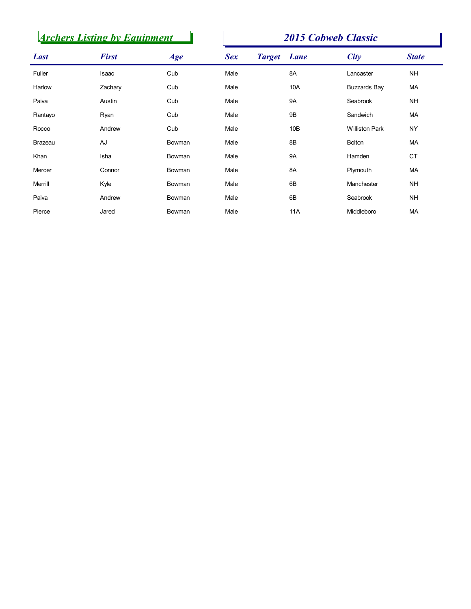|             | <b>Archers Listing by Equipment</b> |        |            |                    | <b>2015 Cobweb Classic</b> |              |
|-------------|-------------------------------------|--------|------------|--------------------|----------------------------|--------------|
| <b>Last</b> | <b>First</b>                        | Age    | <b>Sex</b> | <b>Target</b> Lane | <b>City</b>                | <b>State</b> |
| Fuller      | Isaac                               | Cub    | Male       | 8A                 | Lancaster                  | <b>NH</b>    |
| Harlow      | Zachary                             | Cub    | Male       | 10A                | <b>Buzzards Bay</b>        | <b>MA</b>    |
| Paiva       | Austin                              | Cub    | Male       | <b>9A</b>          | Seabrook                   | <b>NH</b>    |
| Rantayo     | Ryan                                | Cub    | Male       | <b>9B</b>          | Sandwich                   | MA           |
| Rocco       | Andrew                              | Cub    | Male       | 10B                | <b>Williston Park</b>      | <b>NY</b>    |
| Brazeau     | AJ                                  | Bowman | Male       | 8B                 | <b>Bolton</b>              | MA           |
| Khan        | Isha                                | Bowman | Male       | <b>9A</b>          | Hamden                     | CT           |
| Mercer      | Connor                              | Bowman | Male       | 8A                 | Plymouth                   | MA           |
| Merrill     | Kyle                                | Bowman | Male       | 6B                 | Manchester                 | <b>NH</b>    |
| Paiva       | Andrew                              | Bowman | Male       | 6B                 | Seabrook                   | <b>NH</b>    |
| Pierce      | Jared                               | Bowman | Male       | <b>11A</b>         | Middleboro                 | MA           |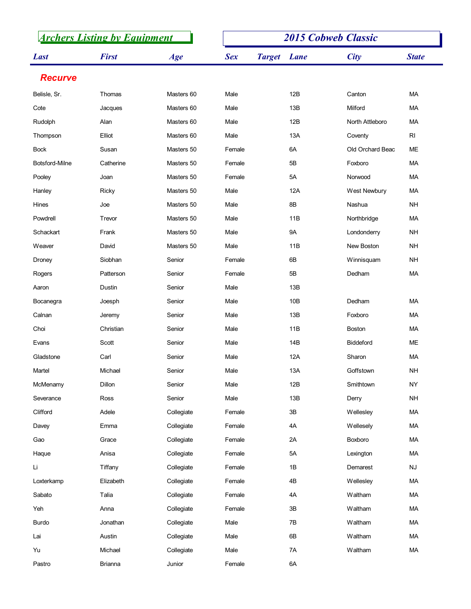|                | <b>Archers Listing by Equipment</b> |            |            |                    | <b>2015 Cobweb Classic</b> |                        |
|----------------|-------------------------------------|------------|------------|--------------------|----------------------------|------------------------|
| <b>Last</b>    | <b>First</b>                        | Age        | <b>Sex</b> | <b>Target</b> Lane | City                       | <b>State</b>           |
| <b>Recurve</b> |                                     |            |            |                    |                            |                        |
| Belisle, Sr.   | Thomas                              | Masters 60 | Male       | 12B                | Canton                     | MA                     |
| Cote           | Jacques                             | Masters 60 | Male       | 13B                | Milford                    | МA                     |
| Rudolph        | Alan                                | Masters 60 | Male       | 12B                | North Attleboro            | МA                     |
| Thompson       | Elliot                              | Masters 60 | Male       | 13A                | Coventy                    | RI                     |
| <b>Bock</b>    | Susan                               | Masters 50 | Female     | 6A                 | Old Orchard Beac           | ME                     |
| Botsford-Milne | Catherine                           | Masters 50 | Female     | 5B                 | Foxboro                    | МA                     |
| Pooley         | Joan                                | Masters 50 | Female     | 5A                 | Norwood                    | МA                     |
| Hanley         | Ricky                               | Masters 50 | Male       | 12A                | West Newbury               | МA                     |
| Hines          | Joe                                 | Masters 50 | Male       | 8B                 | Nashua                     | <b>NH</b>              |
| Powdrell       | Trevor                              | Masters 50 | Male       | 11B                | Northbridge                | МA                     |
| Schackart      | Frank                               | Masters 50 | Male       | <b>9A</b>          | Londonderry                | <b>NH</b>              |
| Weaver         | David                               | Masters 50 | Male       | 11B                | New Boston                 | <b>NH</b>              |
| Droney         | Siobhan                             | Senior     | Female     | 6B                 | Winnisquam                 | <b>NH</b>              |
| Rogers         | Patterson                           | Senior     | Female     | $5B$               | Dedham                     | $\sf MA$               |
| Aaron          | Dustin                              | Senior     | Male       | 13B                |                            |                        |
| Bocanegra      | Joesph                              | Senior     | Male       | 10B                | Dedham                     | MA                     |
| Calnan         | Jeremy                              | Senior     | Male       | 13B                | Foxboro                    | MA                     |
| Choi           | Christian                           | Senior     | Male       | 11B                | Boston                     | MA                     |
| Evans          | Scott                               | Senior     | Male       | 14B                | Biddeford                  | ME                     |
| Gladstone      | Carl                                | Senior     | Male       | 12A                | Sharon                     | MA                     |
| Martel         | Michael                             | Senior     | Male       | 13A                | Goffstown                  | <b>NH</b>              |
| McMenamy       | Dillon                              | Senior     | Male       | 12B                | Smithtown                  | NY                     |
| Severance      | Ross                                | Senior     | Male       | 13B                | Derry                      | $\mathsf{NH}\,$        |
| Clifford       | Adele                               | Collegiate | Female     | $3\mathsf{B}$      | Wellesley                  | MA                     |
| Davey          | Emma                                | Collegiate | Female     | $4A$               | Wellesely                  | MA                     |
| Gao            | Grace                               | Collegiate | Female     | 2A                 | Boxboro                    | MA                     |
| Haque          | Anisa                               | Collegiate | Female     | 5A                 | Lexington                  | MA                     |
| Li             | Tiffany                             | Collegiate | Female     | 1B                 | Demarest                   | $\mathsf{N}\mathsf{J}$ |
| Loxterkamp     | Elizabeth                           | Collegiate | Female     | $4\mathsf{B}$      | Wellesley                  | MA                     |
| Sabato         | Talia                               | Collegiate | Female     | 4A                 | Waltham                    | MA                     |
| Yeh            | Anna                                | Collegiate | Female     | $3\mathsf{B}$      | Waltham                    | MA                     |
| Burdo          | Jonathan                            | Collegiate | Male       | $7\mathsf{B}$      | Waltham                    | MA                     |
| Lai            | Austin                              | Collegiate | Male       | $6\mathsf{B}$      | Waltham                    | MA                     |
| Yu             | Michael                             | Collegiate | Male       | 7A                 | Waltham                    | MA                     |
| Pastro         | <b>Brianna</b>                      | Junior     | Female     | 6A                 |                            |                        |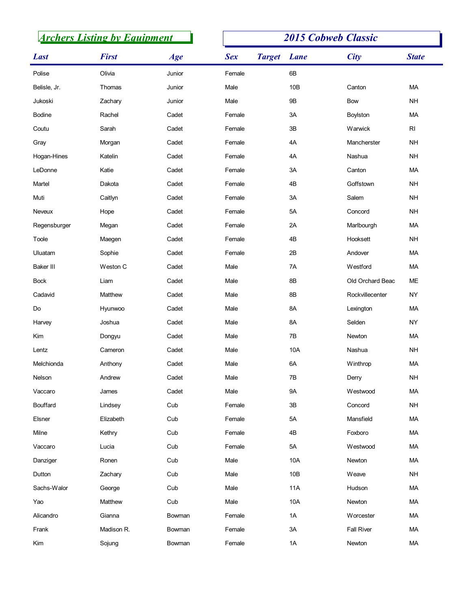|               | <b>Archers Listing by Equipment</b> |        |            |                    | <b>2015 Cobweb Classic</b> |                 |
|---------------|-------------------------------------|--------|------------|--------------------|----------------------------|-----------------|
| <b>Last</b>   | <b>First</b>                        | Age    | <b>Sex</b> | <b>Target</b> Lane | <b>City</b>                | <b>State</b>    |
| Polise        | Olivia                              | Junior | Female     | 6B                 |                            |                 |
| Belisle, Jr.  | Thomas                              | Junior | Male       | 10B                | Canton                     | MA              |
| Jukoski       | Zachary                             | Junior | Male       | 9B                 | Bow                        | <b>NH</b>       |
| <b>Bodine</b> | Rachel                              | Cadet  | Female     | 3A                 | Boylston                   | MA              |
| Coutu         | Sarah                               | Cadet  | Female     | 3B                 | Warwick                    | RI              |
| Gray          | Morgan                              | Cadet  | Female     | 4A                 | Mancherster                | <b>NH</b>       |
| Hogan-Hines   | Katelin                             | Cadet  | Female     | 4A                 | Nashua                     | <b>NH</b>       |
| LeDonne       | Katie                               | Cadet  | Female     | 3A                 | Canton                     | MA              |
| Martel        | Dakota                              | Cadet  | Female     | 4B                 | Goffstown                  | <b>NH</b>       |
| Muti          | Caitlyn                             | Cadet  | Female     | 3A                 | Salem                      | <b>NH</b>       |
| Neveux        | Hope                                | Cadet  | Female     | 5A                 | Concord                    | <b>NH</b>       |
| Regensburger  | Megan                               | Cadet  | Female     | 2A                 | Marlbourgh                 | MA              |
| Toole         | Maegen                              | Cadet  | Female     | 4B                 | Hooksett                   | <b>NH</b>       |
| Uluatam       | Sophie                              | Cadet  | Female     | 2B                 | Andover                    | MA              |
| Baker III     | Weston C                            | Cadet  | Male       | 7A                 | Westford                   | MA              |
| Bock          | Liam                                | Cadet  | Male       | 8B                 | Old Orchard Beac           | ME              |
| Cadavid       | Matthew                             | Cadet  | Male       | $8\mathsf{B}$      | Rockvillecenter            | NY              |
| Do            | Hyunwoo                             | Cadet  | Male       | 8A                 | Lexington                  | MA              |
| Harvey        | Joshua                              | Cadet  | Male       | 8A                 | Selden                     | <b>NY</b>       |
| Kim           | Dongyu                              | Cadet  | Male       | 7B                 | Newton                     | MA              |
| Lentz         | Cameron                             | Cadet  | Male       | 10A                | Nashua                     | NH              |
| Melchionda    | Anthony                             | Cadet  | Male       | 6A                 | Winthrop                   | MA              |
| Nelson        | Andrew                              | Cadet  | Male       | 7B                 | Derry                      | $\mathsf{NH}\,$ |
| Vaccaro       | James                               | Cadet  | Male       | <b>9A</b>          | Westwood                   | MA              |
| Bouffard      | Lindsey                             | Cub    | Female     | $3\mathsf{B}$      | Concord                    | NH              |
| Elsner        | Elizabeth                           | Cub    | Female     | $5A$               | Mansfield                  | MA              |
| Milne         | Kethry                              | Cub    | Female     | 4B                 | Foxboro                    | MA              |
| Vaccaro       | Lucia                               | Cub    | Female     | $5A$               | Westwood                   | MA              |
| Danziger      | Ronen                               | Cub    | Male       | 10A                | Newton                     | MA              |
| Dutton        | Zachary                             | Cub    | Male       | 10B                | Weave                      | <b>NH</b>       |
| Sachs-Walor   | George                              | Cub    | Male       | 11A                | Hudson                     | MA              |
| Yao           | Matthew                             | Cub    | Male       | 10A                | Newton                     | MA              |
| Alicandro     | Gianna                              | Bowman | Female     | 1A                 | Worcester                  | MA              |
| Frank         | Madison R.                          | Bowman | Female     | $3A$               | <b>Fall River</b>          | MA              |
| Kim           | Sojung                              | Bowman | Female     | $1A$               | Newton                     | $\sf MA$        |